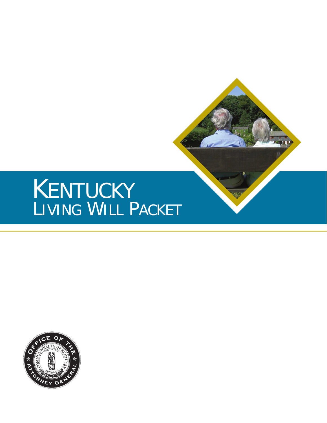# LIVING WILL PACKET KENTUCKY

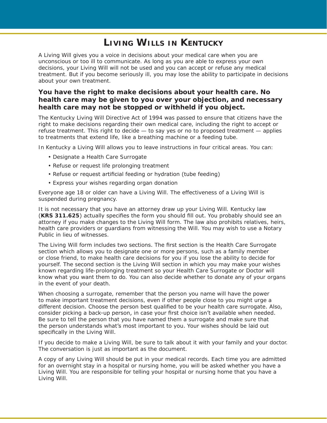# **Living Wills in Kentucky**

A Living Will gives you a voice in decisions about your medical care when you are unconscious or too ill to communicate. As long as you are able to express your own decisions, your Living Will will not be used and you can accept or refuse any medical treatment. But if you become seriously ill, you may lose the ability to participate in decisions about your own treatment.

### **You have the right to make decisions about your health care. No health care may be given to you over your objection, and necessary health care may not be stopped or withheld if you object.**

The Kentucky Living Will Directive Act of 1994 was passed to ensure that citizens have the right to make decisions regarding their own medical care, including the right to accept or refuse treatment. This right to decide — to say yes or no to proposed treatment — applies to treatments that extend life, like a breathing machine or a feeding tube.

In Kentucky a Living Will allows you to leave instructions in four critical areas. You can:

- Designate a Health Care Surrogate
- Refuse or request life prolonging treatment
- Refuse or request artificial feeding or hydration (tube feeding)
- Express your wishes regarding organ donation •

Everyone age 18 or older can have a Living Will. The effectiveness of a Living Will is suspended during pregnancy.

It is not necessary that you have an attorney draw up your Living Will. Kentucky law (**KRS 311.625**) actually specifies the form you should fill out. You probably should see an attorney if you make changes to the Living Will form. The law also prohibits relatives, heirs, health care providers or guardians from witnessing the Will. You may wish to use a Notary Public in lieu of witnesses.

The Living Will form includes two sections. The first section is the Health Care Surrogate section which allows you to designate one or more persons, such as a family member or close friend, to make health care decisions for you if you lose the ability to decide for yourself. The second section is the Living Will section in which you may make your wishes known regarding life-prolonging treatment so your Health Care Surrogate or Doctor will know what you want them to do. You can also decide whether to donate any of your organs in the event of your death.

When choosing a surrogate, remember that the person you name will have the power to make important treatment decisions, even if other people close to you might urge a different decision. Choose the person best qualified to be your health care surrogate. Also, consider picking a back-up person, in case your first choice isn't available when needed. Be sure to tell the person that you have named them a surrogate and make sure that the person understands what's most important to you. Your wishes should be laid out specifically in the Living Will.

If you decide to make a Living Will, be sure to talk about it with your family and your doctor. The conversation is just as important as the document.

A copy of any Living Will should be put in your medical records. Each time you are admitted for an overnight stay in a hospital or nursing home, you will be asked whether you have a Living Will. You are responsible for telling your hospital or nursing home that you have a Living Will.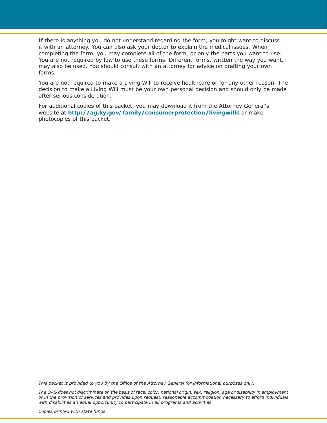If there is anything you do not understand regarding the form, you might want to discuss it with an attorney. You can also ask your doctor to explain the medical issues. When completing the form, you may complete all of the form, or only the parts you want to use. You are not required by law to use these forms. Different forms, written the way you want, may also be used. You should consult with an attorney for advice on drafting your own forms.

You are not required to make a Living Will to receive healthcare or for any other reason. The decision to make a Living Will must be your own personal decision and should only be made after serious consideration.

For additional copies of this packet, you may download it from the Attorney General's website at **http://ag.ky.gov/family/consumerprotection/livingwills** or make photocopies of this packet.

*This packet is provided to you by the Office of the Attorney General for informational purposes only.*

*The OAG does not discriminate on the basis of race, color, national origin, sex, religion, age or disability in employment or in the provision of services and provides upon request, reasonable accommodation necessary to afford individuals with disabilities an equal opportunity to participate in all programs and activities.*

*Copies printed with state funds.*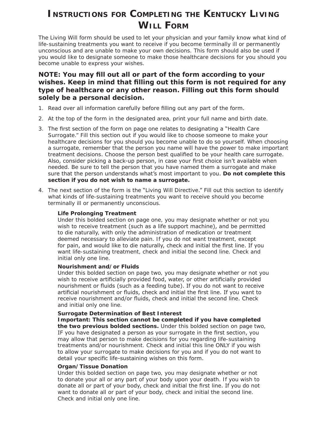# **Instructions for Completing the Kentucky Living Will Form**

The Living Will form should be used to let your physician and your family know what kind of life-sustaining treatments you want to receive if you become terminally ill or permanently unconscious and are unable to make your own decisions. This form should also be used if you would like to designate someone to make those healthcare decisions for you should you become unable to express your wishes.

### **NOTE: You may fill out all or part of the form according to your wishes. Keep in mind that filling out this form is not required for any type of healthcare or any other reason. Filling out this form should solely be a personal decision.**

- 1. Read over all information carefully before filling out any part of the form.
- 2. At the top of the form in the designated area, print your full name and birth date.
- The first section of the form on page one relates to designating a "Health Care 3. Surrogate." Fill this section out if you would like to choose someone to make your healthcare decisions for you should you become unable to do so yourself. When choosing a surrogate, remember that the person you name will have the power to make important treatment decisions. Choose the person best qualified to be your health care surrogate. Also, consider picking a back-up person, in case your first choice isn't available when needed. Be sure to tell the person that you have named them a surrogate and make sure that the person understands what's most important to you. **Do not complete this section if you do not wish to name a surrogate.**
- The next section of the form is the "Living Will Directive." Fill out this section to identify 4.what kinds of life-sustaining treatments you want to receive should you become terminally ill or permanently unconscious.

### **Life Prolonging Treatment**

Under this bolded section on page one, you may designate whether or not you wish to receive treatment (such as a life support machine), and be permitted to die naturally, with only the administration of medication or treatment deemed necessary to alleviate pain. If you do not want treatment, except for pain, and would like to die naturally, check and initial the first line. If you want life-sustaining treatment, check and initial the second line. Check and initial only one line.

### **Nourishment and/or Fluids**

Under this bolded section on page two, you may designate whether or not you wish to receive artificially provided food, water, or other artificially provided nourishment or fluids (such as a feeding tube). If you do not want to receive artificial nourishment or fluids, check and initial the first line. If you want to receive nourishment and/or fluids, check and initial the second line. Check and initial only one line.

### **Surrogate Determination of Best Interest**

**Important: This section cannot be completed if you have completed the two previous bolded sections.** Under this bolded section on page two, IF you have designated a person as your surrogate in the first section, you may allow that person to make decisions for you regarding life-sustaining treatments and/or nourishment. Check and initial this line ONLY if you wish to allow your surrogate to make decisions for you and if you do not want to detail your specific life-sustaining wishes on this form.

### **Organ/Tissue Donation**

Under this bolded section on page two, you may designate whether or not to donate your all or any part of your body upon your death. If you wish to donate all or part of your body, check and initial the first line. If you do not want to donate all or part of your body, check and initial the second line. Check and initial only one line.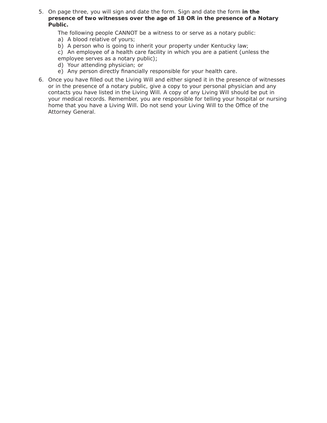- On page three, you will sign and date the form. Sign and date the form **in the**  5. **presence of two witnesses over the age of 18 OR in the presence of a Notary Public.**
	- The following people CANNOT be a witness to or serve as a notary public:
	- a) A blood relative of yours;
	- b) A person who is going to inherit your property under Kentucky law;

c) An employee of a health care facility in which you are a patient (unless the employee serves as a notary public);

- d) Your attending physician; or
- e) Any person directly financially responsible for your health care.
- Once you have filled out the Living Will and either signed it in the presence of witnesses 6.or in the presence of a notary public, give a copy to your personal physician and any contacts you have listed in the Living Will. A copy of any Living Will should be put in your medical records. Remember, you are responsible for telling your hospital or nursing home that you have a Living Will. Do not send your Living Will to the Office of the Attorney General.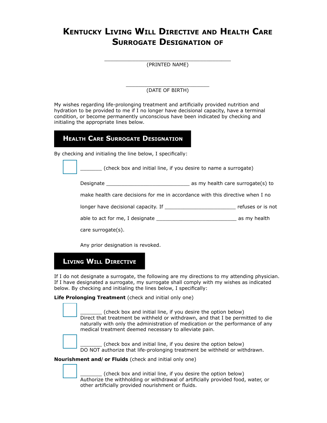# **KENTUCKY LIVING WILL DIRECTIVE AND HEALTH CARE surrogate Designation of**

| (PRINTED NAME) |  |
|----------------|--|

\_\_\_\_\_\_\_\_\_\_\_\_\_\_\_\_\_\_\_\_\_\_\_\_\_\_\_ (DATE OF BIRTH)

My wishes regarding life-prolonging treatment and artificially provided nutrition and hydration to be provided to me if I no longer have decisional capacity, have a terminal condition, or become permanently unconscious have been indicated by checking and initialing the appropriate lines below.

## **heaLth care surrogate Designation**

By checking and initialing the line below, I specifically:

(check box and initial line, if you desire to name a surrogate)

Designate **Designate Example 2** as my health care surrogate(s) to

make health care decisions for me in accordance with this directive when I no

longer have decisional capacity. If \_\_\_\_\_\_\_\_\_\_\_\_\_\_\_\_\_\_\_\_\_\_\_ refuses or is not

able to act for me, I designate and the same state as my health

care surrogate(s).

Any prior designation is revoked.

# **Living WiLL Directive**

If I do not designate a surrogate, the following are my directions to my attending physician. If I have designated a surrogate, my surrogate shall comply with my wishes as indicated below. By checking and initialing the lines below, I specifically:

**Life Prolonging Treatment** (check and initial only one)

(check box and initial line, if you desire the option below) Direct that treatment be withheld or withdrawn, and that I be permitted to die naturally with only the administration of medication or the performance of any medical treatment deemed necessary to alleviate pain.

(check box and initial line, if you desire the option below) DO NOT authorize that life-prolonging treatment be withheld or withdrawn.

**Nourishment and/or Fluids** (check and initial only one)

(check box and initial line, if you desire the option below) Authorize the withholding or withdrawal of artificially provided food, water, or other artificially provided nourishment or fluids.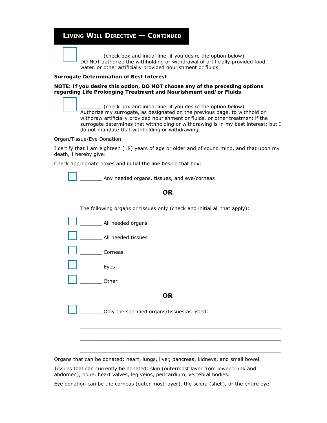### **Living WiLL Directive — continueD**

\_\_\_\_\_\_\_ (check box and initial line, if you desire the option below) DO NOT authorize the withholding or withdrawal of artificially provided food, water, or other artificially provided nourishment or fluids.

#### **Surrogate Determination of Best Interest**

#### **NOTE: If you desire this option, DO NOT choose any of the preceding options regarding Life Prolonging Treatment and Nourishment and/or Fluids**

\_\_\_\_\_\_\_ (check box and initial line, if you desire the option below) Authorize my surrogate, as designated on the previous page, to withhold or withdraw artificially provided nourishment or fluids, or other treatment if the surrogate determines that withholding or withdrawing is in my best interest; but I do not mandate that withholding or withdrawing.

Organ/Tissue/Eye Donation

I certify that I am eighteen (18) years of age or older and of sound mind, and that upon my death, I hereby give:

Check appropriate boxes and initial the line beside that box:

Any needed organs, tissues, and eye/corneas

### **or**

The following organs or tissues only (check and initial all that apply):

| All needed organs |  |
|-------------------|--|
|                   |  |

All needed tissues

\_\_\_\_\_\_\_ Corneas

 $Eves$ 

\_\_\_\_\_\_\_ Other

### **or**

 $\_$  ,  $\_$  ,  $\_$  ,  $\_$  ,  $\_$  ,  $\_$  ,  $\_$  ,  $\_$  ,  $\_$  ,  $\_$  ,  $\_$  ,  $\_$  ,  $\_$  ,  $\_$  ,  $\_$  ,  $\_$  ,  $\_$  ,  $\_$  ,  $\_$ 

 $\_$  ,  $\_$  ,  $\_$  ,  $\_$  ,  $\_$  ,  $\_$  ,  $\_$  ,  $\_$  ,  $\_$  ,  $\_$  ,  $\_$  ,  $\_$  ,  $\_$  ,  $\_$  ,  $\_$  ,  $\_$  ,  $\_$  ,  $\_$  ,  $\_$ 

 $\_$  ,  $\_$  ,  $\_$  ,  $\_$  ,  $\_$  ,  $\_$  ,  $\_$  ,  $\_$  ,  $\_$  ,  $\_$  ,  $\_$  ,  $\_$  ,  $\_$  ,  $\_$  ,  $\_$  ,  $\_$  ,  $\_$  ,  $\_$  ,  $\_$ 

Only the specified organs/tissues as listed:

Organs that can be donated: heart, lungs, liver, pancreas, kidneys, and small bowel.

Tissues that can currently be donated: skin (outermost layer from lower trunk and abdomen), bone, heart valves, leg veins, pericardium, vertebral bodies.

Eye donation can be the corneas (outer most layer), the sclera (shell), or the entire eye.